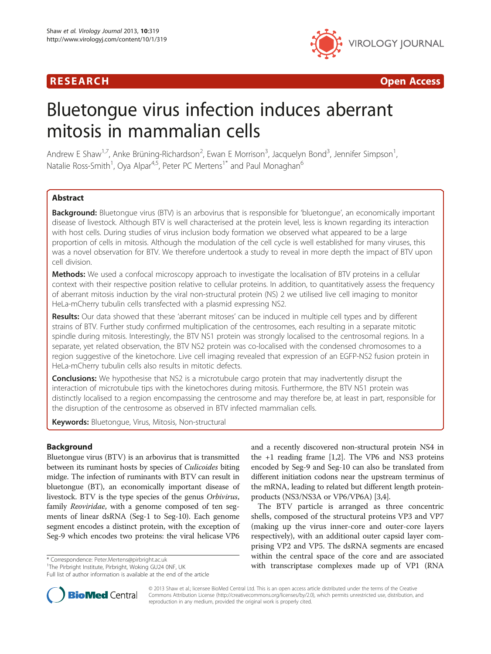

R E S EAR CH Open Access

# Bluetongue virus infection induces aberrant mitosis in mammalian cells

Andrew E Shaw<sup>1,7</sup>, Anke Brüning-Richardson<sup>2</sup>, Ewan E Morrison<sup>3</sup>, Jacquelyn Bond<sup>3</sup>, Jennifer Simpson<sup>1</sup> , Natalie Ross-Smith<sup>1</sup>, Oya Alpar<sup>4,5</sup>, Peter PC Mertens<sup>1\*</sup> and Paul Monaghan<sup>6</sup>

# **Abstract**

Background: Bluetongue virus (BTV) is an arbovirus that is responsible for 'bluetongue', an economically important disease of livestock. Although BTV is well characterised at the protein level, less is known regarding its interaction with host cells. During studies of virus inclusion body formation we observed what appeared to be a large proportion of cells in mitosis. Although the modulation of the cell cycle is well established for many viruses, this was a novel observation for BTV. We therefore undertook a study to reveal in more depth the impact of BTV upon cell division.

**Methods:** We used a confocal microscopy approach to investigate the localisation of BTV proteins in a cellular context with their respective position relative to cellular proteins. In addition, to quantitatively assess the frequency of aberrant mitosis induction by the viral non-structural protein (NS) 2 we utilised live cell imaging to monitor HeLa-mCherry tubulin cells transfected with a plasmid expressing NS2.

Results: Our data showed that these 'aberrant mitoses' can be induced in multiple cell types and by different strains of BTV. Further study confirmed multiplication of the centrosomes, each resulting in a separate mitotic spindle during mitosis. Interestingly, the BTV NS1 protein was strongly localised to the centrosomal regions. In a separate, yet related observation, the BTV NS2 protein was co-localised with the condensed chromosomes to a region suggestive of the kinetochore. Live cell imaging revealed that expression of an EGFP-NS2 fusion protein in HeLa-mCherry tubulin cells also results in mitotic defects.

**Conclusions:** We hypothesise that NS2 is a microtubule cargo protein that may inadvertently disrupt the interaction of microtubule tips with the kinetochores during mitosis. Furthermore, the BTV NS1 protein was distinctly localised to a region encompassing the centrosome and may therefore be, at least in part, responsible for the disruption of the centrosome as observed in BTV infected mammalian cells.

Keywords: Bluetongue, Virus, Mitosis, Non-structural

# **Background**

Bluetongue virus (BTV) is an arbovirus that is transmitted between its ruminant hosts by species of Culicoides biting midge. The infection of ruminants with BTV can result in bluetongue (BT), an economically important disease of livestock. BTV is the type species of the genus Orbivirus, family *Reoviridae*, with a genome composed of ten segments of linear dsRNA (Seg-1 to Seg-10). Each genome segment encodes a distinct protein, with the exception of Seg-9 which encodes two proteins: the viral helicase VP6

Full list of author information is available at the end of the article



The BTV particle is arranged as three concentric shells, composed of the structural proteins VP3 and VP7 (making up the virus inner-core and outer-core layers respectively), with an additional outer capsid layer comprising VP2 and VP5. The dsRNA segments are encased within the central space of the core and are associated \* Correspondence: [Peter.Mertens@pirbright.ac.uk](mailto:Peter.Mertens@pirbright.ac.uk) **1998** within the central space of the core and are associated to the correspondence: Peter.Mertens@pirbright.ac.uk 1 and the sension with transcriptase complexes made up of



© 2013 Shaw et al.; licensee BioMed Central Ltd. This is an open access article distributed under the terms of the Creative Commons Attribution License [\(http://creativecommons.org/licenses/by/2.0\)](http://creativecommons.org/licenses/by/2.0), which permits unrestricted use, distribution, and reproduction in any medium, provided the original work is properly cited.

<sup>&</sup>lt;sup>1</sup>The Pirbright Institute, Pirbright, Woking GU24 0NF, UK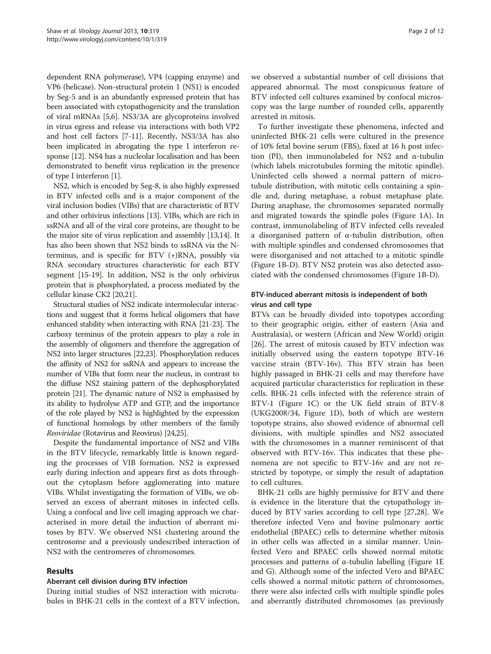dependent RNA polymerase), VP4 (capping enzyme) and VP6 (helicase). Non-structural protein 1 (NS1) is encoded by Seg-5 and is an abundantly expressed protein that has been associated with cytopathogenicity and the translation of viral mRNAs [\[5,6\]](#page-9-0). NS3/3A are glycoproteins involved in virus egress and release via interactions with both VP2 and host cell factors [\[7-11\]](#page-9-0). Recently, NS3/3A has also been implicated in abrogating the type I interferon response [[12](#page-9-0)]. NS4 has a nucleolar localisation and has been demonstrated to benefit virus replication in the presence of type I interferon [[1\]](#page-9-0).

NS2, which is encoded by Seg-8, is also highly expressed in BTV infected cells and is a major component of the viral inclusion bodies (VIBs) that are characteristic of BTV and other orbivirus infections [\[13\]](#page-9-0). VIBs, which are rich in ssRNA and all of the viral core proteins, are thought to be the major site of virus replication and assembly [[13,14\]](#page-9-0). It has also been shown that NS2 binds to ssRNA via the Nterminus, and is specific for BTV (+)RNA, possibly via RNA secondary structures characteristic for each BTV segment [[15-19\]](#page-9-0). In addition, NS2 is the only orbivirus protein that is phosphorylated, a process mediated by the cellular kinase CK2 [[20,21\]](#page-10-0).

Structural studies of NS2 indicate intermolecular interactions and suggest that it forms helical oligomers that have enhanced stability when interacting with RNA [[21-23\]](#page-10-0). The carboxy terminus of the protein appears to play a role in the assembly of oligomers and therefore the aggregation of NS2 into larger structures [\[22,23\]](#page-10-0). Phosphorylation reduces the affinity of NS2 for ssRNA and appears to increase the number of VIBs that form near the nucleus, in contrast to the diffuse NS2 staining pattern of the dephosphorylated protein [\[21\]](#page-10-0). The dynamic nature of NS2 is emphasised by its ability to hydrolyse ATP and GTP, and the importance of the role played by NS2 is highlighted by the expression of functional homologs by other members of the family Reoviridae (Rotavirus and Reovirus) [\[24,25](#page-10-0)].

Despite the fundamental importance of NS2 and VIBs in the BTV lifecycle, remarkably little is known regarding the processes of VIB formation. NS2 is expressed early during infection and appears first as dots throughout the cytoplasm before agglomerating into mature VIBs. Whilst investigating the formation of VIBs, we observed an excess of aberrant mitoses in infected cells. Using a confocal and live cell imaging approach we characterised in more detail the induction of aberrant mitoses by BTV. We observed NS1 clustering around the centrosome and a previously undescribed interaction of NS2 with the centromeres of chromosomes.

#### Results

#### Aberrant cell division during BTV infection

During initial studies of NS2 interaction with microtubules in BHK-21 cells in the context of a BTV infection,

we observed a substantial number of cell divisions that appeared abnormal. The most conspicuous feature of BTV infected cell cultures examined by confocal microscopy was the large number of rounded cells, apparently arrested in mitosis.

To further investigate these phenomena, infected and uninfected BHK-21 cells were cultured in the presence of 10% fetal bovine serum (FBS), fixed at 16 h post infection (PI), then immunolabeled for NS2 and α-tubulin (which labels microtubules forming the mitotic spindle). Uninfected cells showed a normal pattern of microtubule distribution, with mitotic cells containing a spindle and, during metaphase, a robust metaphase plate. During anaphase, the chromosomes separated normally and migrated towards the spindle poles (Figure [1A](#page-2-0)). In contrast, immunolabeling of BTV infected cells revealed a disorganised pattern of α-tubulin distribution, often with multiple spindles and condensed chromosomes that were disorganised and not attached to a mitotic spindle (Figure [1B](#page-2-0)-D). BTV NS2 protein was also detected associated with the condensed chromosomes (Figure [1B](#page-2-0)-D).

## BTV-induced aberrant mitosis is independent of both virus and cell type

BTVs can be broadly divided into topotypes according to their geographic origin, either of eastern (Asia and Australasia), or western (African and New World) origin [[26\]](#page-10-0). The arrest of mitosis caused by BTV infection was initially observed using the eastern topotype BTV-16 vaccine strain (BTV-16v). This BTV strain has been highly passaged in BHK-21 cells and may therefore have acquired particular characteristics for replication in these cells. BHK-21 cells infected with the reference strain of BTV-1 (Figure [1C](#page-2-0)) or the UK field strain of BTV-8 (UKG2008/34, Figure [1](#page-2-0)D), both of which are western topotype strains, also showed evidence of abnormal cell divisions, with multiple spindles and NS2 associated with the chromosomes in a manner reminiscent of that observed with BTV-16v. This indicates that these phenomena are not specific to BTV-16v and are not restricted by topotype, or simply the result of adaptation to cell cultures.

BHK-21 cells are highly permissive for BTV and there is evidence in the literature that the cytopathology induced by BTV varies according to cell type [\[27,28](#page-10-0)]. We therefore infected Vero and bovine pulmonary aortic endothelial (BPAEC) cells to determine whether mitosis in other cells was affected in a similar manner. Uninfected Vero and BPAEC cells showed normal mitotic processes and patterns of α-tubulin labelling (Figure [1](#page-2-0)E and G). Although some of the infected Vero and BPAEC cells showed a normal mitotic pattern of chromosomes, there were also infected cells with multiple spindle poles and aberrantly distributed chromosomes (as previously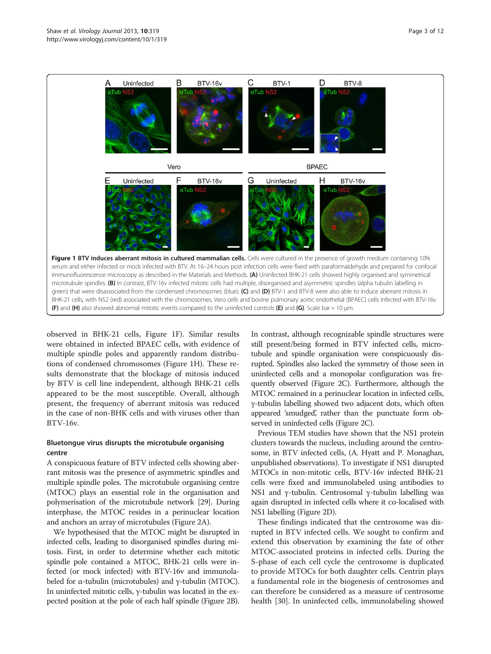<span id="page-2-0"></span>

observed in BHK-21 cells, Figure 1F). Similar results were obtained in infected BPAEC cells, with evidence of multiple spindle poles and apparently random distributions of condensed chromosomes (Figure 1H). These results demonstrate that the blockage of mitosis induced by BTV is cell line independent, although BHK-21 cells appeared to be the most susceptible. Overall, although present, the frequency of aberrant mitosis was reduced in the case of non-BHK cells and with viruses other than BTV-16v.

# Bluetongue virus disrupts the microtubule organising centre

A conspicuous feature of BTV infected cells showing aberrant mitosis was the presence of asymmetric spindles and multiple spindle poles. The microtubule organising centre (MTOC) plays an essential role in the organisation and polymerisation of the microtubule network [\[29\]](#page-10-0). During interphase, the MTOC resides in a perinuclear location and anchors an array of microtubules (Figure [2](#page-3-0)A).

We hypothesised that the MTOC might be disrupted in infected cells, leading to disorganised spindles during mitosis. First, in order to determine whether each mitotic spindle pole contained a MTOC, BHK-21 cells were infected (or mock infected) with BTV-16v and immunolabeled for α-tubulin (microtubules) and  $γ$ -tubulin (MTOC). In uninfected mitotic cells, γ-tubulin was located in the expected position at the pole of each half spindle (Figure [2B](#page-3-0)).

In contrast, although recognizable spindle structures were still present/being formed in BTV infected cells, microtubule and spindle organisation were conspicuously disrupted. Spindles also lacked the symmetry of those seen in uninfected cells and a monopolar configuration was frequently observed (Figure [2C](#page-3-0)). Furthermore, although the MTOC remained in a perinuclear location in infected cells, γ-tubulin labelling showed two adjacent dots, which often appeared 'smudged', rather than the punctuate form observed in uninfected cells (Figure [2](#page-3-0)C).

Previous TEM studies have shown that the NS1 protein clusters towards the nucleus, including around the centrosome, in BTV infected cells, (A. Hyatt and P. Monaghan, unpublished observations). To investigate if NS1 disrupted MTOCs in non-mitotic cells, BTV-16v infected BHK-21 cells were fixed and immunolabeled using antibodies to NS1 and γ-tubulin. Centrosomal γ-tubulin labelling was again disrupted in infected cells where it co-localised with NS1 labelling (Figure [2](#page-3-0)D).

These findings indicated that the centrosome was disrupted in BTV infected cells. We sought to confirm and extend this observation by examining the fate of other MTOC-associated proteins in infected cells. During the S-phase of each cell cycle the centrosome is duplicated to provide MTOCs for both daughter cells. Centrin plays a fundamental role in the biogenesis of centrosomes and can therefore be considered as a measure of centrosome health [[30](#page-10-0)]. In uninfected cells, immunolabeling showed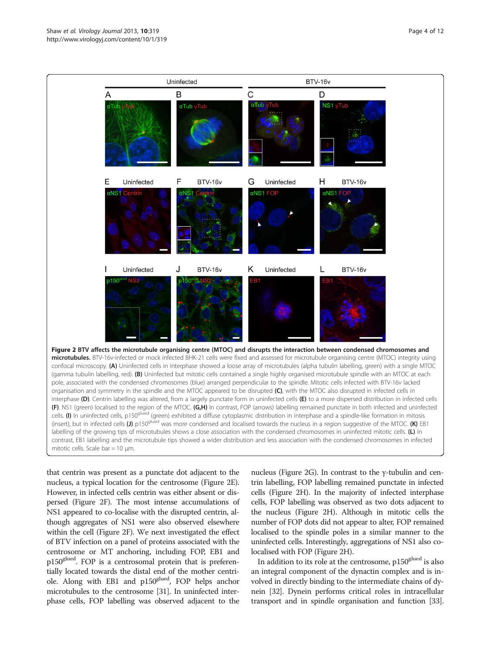<span id="page-3-0"></span>

that centrin was present as a punctate dot adjacent to the nucleus, a typical location for the centrosome (Figure 2E). However, in infected cells centrin was either absent or dispersed (Figure 2F). The most intense accumulations of NS1 appeared to co-localise with the disrupted centrin, although aggregates of NS1 were also observed elsewhere within the cell (Figure 2F). We next investigated the effect of BTV infection on a panel of proteins associated with the centrosome or MT anchoring, including FOP, EB1 and p150glued. FOP is a centrosomal protein that is preferentially located towards the distal end of the mother centriole. Along with EB1 and p150glued, FOP helps anchor microtubules to the centrosome [\[31](#page-10-0)]. In uninfected interphase cells, FOP labelling was observed adjacent to the

nucleus (Figure 2G). In contrast to the γ-tubulin and centrin labelling, FOP labelling remained punctate in infected cells (Figure 2H). In the majority of infected interphase cells, FOP labelling was observed as two dots adjacent to the nucleus (Figure 2H). Although in mitotic cells the number of FOP dots did not appear to alter, FOP remained localised to the spindle poles in a similar manner to the uninfected cells. Interestingly, aggregations of NS1 also colocalised with FOP (Figure 2H).

In addition to its role at the centrosome,  $p150<sup>glued</sup>$  is also an integral component of the dynactin complex and is involved in directly binding to the intermediate chains of dynein [[32](#page-10-0)]. Dynein performs critical roles in intracellular transport and in spindle organisation and function [[33](#page-10-0)].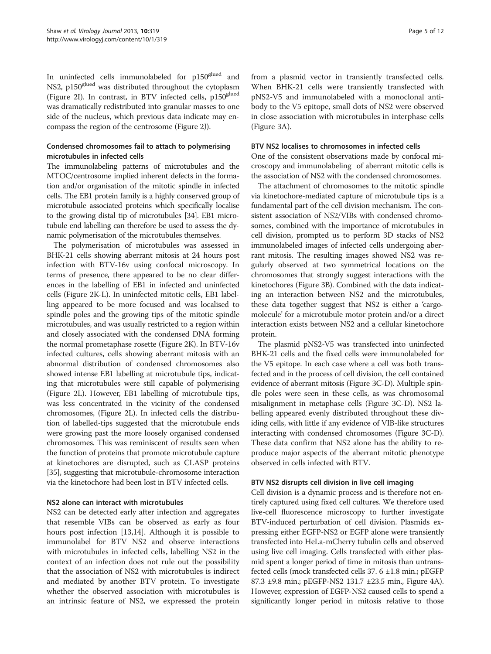In uninfected cells immunolabeled for p150<sup>glued</sup> and NS2, p150<sup>glued</sup> was distributed throughout the cytoplasm (Figure [2](#page-3-0)I). In contrast, in BTV infected cells, p150<sup>glued</sup> was dramatically redistributed into granular masses to one side of the nucleus, which previous data indicate may encompass the region of the centrosome (Figure [2J](#page-3-0)).

# Condensed chromosomes fail to attach to polymerising microtubules in infected cells

The immunolabeling patterns of microtubules and the MTOC/centrosome implied inherent defects in the formation and/or organisation of the mitotic spindle in infected cells. The EB1 protein family is a highly conserved group of microtubule associated proteins which specifically localise to the growing distal tip of microtubules [[34](#page-10-0)]. EB1 microtubule end labelling can therefore be used to assess the dynamic polymerisation of the microtubules themselves.

The polymerisation of microtubules was assessed in BHK-21 cells showing aberrant mitosis at 24 hours post infection with BTV-16v using confocal microscopy. In terms of presence, there appeared to be no clear differences in the labelling of EB1 in infected and uninfected cells (Figure [2K](#page-3-0)-L). In uninfected mitotic cells, EB1 labelling appeared to be more focused and was localised to spindle poles and the growing tips of the mitotic spindle microtubules, and was usually restricted to a region within and closely associated with the condensed DNA forming the normal prometaphase rosette (Figure [2](#page-3-0)K). In BTV-16v infected cultures, cells showing aberrant mitosis with an abnormal distribution of condensed chromosomes also showed intense EB1 labelling at microtubule tips, indicating that microtubules were still capable of polymerising (Figure [2](#page-3-0)L). However, EB1 labelling of microtubule tips, was less concentrated in the vicinity of the condensed chromosomes, (Figure [2L](#page-3-0)). In infected cells the distribution of labelled-tips suggested that the microtubule ends were growing past the more loosely organised condensed chromosomes. This was reminiscent of results seen when the function of proteins that promote microtubule capture at kinetochores are disrupted, such as CLASP proteins [[35](#page-10-0)], suggesting that microtubule-chromosome interaction via the kinetochore had been lost in BTV infected cells.

#### NS2 alone can interact with microtubules

NS2 can be detected early after infection and aggregates that resemble VIBs can be observed as early as four hours post infection [[13,14\]](#page-9-0). Although it is possible to immunolabel for BTV NS2 and observe interactions with microtubules in infected cells, labelling NS2 in the context of an infection does not rule out the possibility that the association of NS2 with microtubules is indirect and mediated by another BTV protein. To investigate whether the observed association with microtubules is an intrinsic feature of NS2, we expressed the protein from a plasmid vector in transiently transfected cells. When BHK-21 cells were transiently transfected with pNS2-V5 and immunolabeled with a monoclonal antibody to the V5 epitope, small dots of NS2 were observed in close association with microtubules in interphase cells (Figure [3A](#page-5-0)).

#### BTV NS2 localises to chromosomes in infected cells

One of the consistent observations made by confocal microscopy and immunolabeling of aberrant mitotic cells is the association of NS2 with the condensed chromosomes.

The attachment of chromosomes to the mitotic spindle via kinetochore-mediated capture of microtubule tips is a fundamental part of the cell division mechanism. The consistent association of NS2/VIBs with condensed chromosomes, combined with the importance of microtubules in cell division, prompted us to perform 3D stacks of NS2 immunolabeled images of infected cells undergoing aberrant mitosis. The resulting images showed NS2 was regularly observed at two symmetrical locations on the chromosomes that strongly suggest interactions with the kinetochores (Figure [3](#page-5-0)B). Combined with the data indicating an interaction between NS2 and the microtubules, these data together suggest that NS2 is either a 'cargomolecule' for a microtubule motor protein and/or a direct interaction exists between NS2 and a cellular kinetochore protein.

The plasmid pNS2-V5 was transfected into uninfected BHK-21 cells and the fixed cells were immunolabeled for the V5 epitope. In each case where a cell was both transfected and in the process of cell division, the cell contained evidence of aberrant mitosis (Figure [3](#page-5-0)C-D). Multiple spindle poles were seen in these cells, as was chromosomal misalignment in metaphase cells (Figure [3](#page-5-0)C-D). NS2 labelling appeared evenly distributed throughout these dividing cells, with little if any evidence of VIB-like structures interacting with condensed chromosomes (Figure [3](#page-5-0)C-D). These data confirm that NS2 alone has the ability to reproduce major aspects of the aberrant mitotic phenotype observed in cells infected with BTV.

#### BTV NS2 disrupts cell division in live cell imaging

Cell division is a dynamic process and is therefore not entirely captured using fixed cell cultures. We therefore used live-cell fluorescence microscopy to further investigate BTV-induced perturbation of cell division. Plasmids expressing either EGFP-NS2 or EGFP alone were transiently transfected into HeLa-mCherry tubulin cells and observed using live cell imaging. Cells transfected with either plasmid spent a longer period of time in mitosis than untransfected cells (mock transfected cells 37. 6 ±1.8 min.; pEGFP 87.3 ±9.8 min.; pEGFP-NS2 131.7 ±23.5 min., Figure [4A](#page-5-0)). However, expression of EGFP-NS2 caused cells to spend a significantly longer period in mitosis relative to those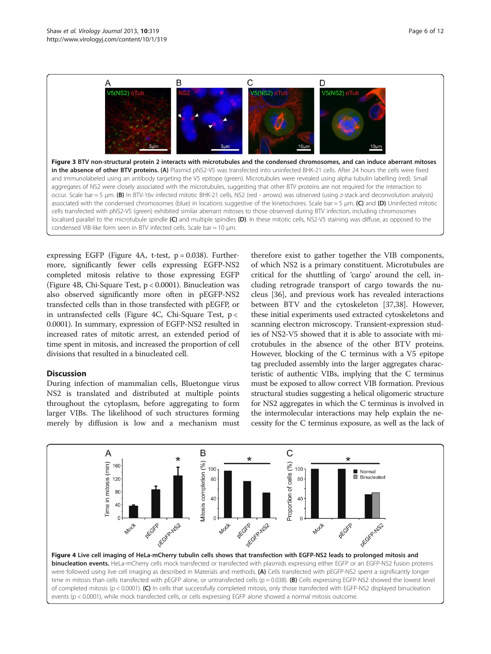<span id="page-5-0"></span>

expressing EGFP (Figure 4A, t-test,  $p = 0.038$ ). Furthermore, significantly fewer cells expressing EGFP-NS2 completed mitosis relative to those expressing EGFP (Figure 4B, Chi-Square Test, p < 0.0001). Binucleation was also observed significantly more often in pEGFP-NS2 transfected cells than in those transfected with pEGFP, or in untransfected cells (Figure 4C, Chi-Square Test, p < 0.0001). In summary, expression of EGFP-NS2 resulted in increased rates of mitotic arrest, an extended period of time spent in mitosis, and increased the proportion of cell divisions that resulted in a binucleated cell.

#### Discussion

During infection of mammalian cells, Bluetongue virus NS2 is translated and distributed at multiple points throughout the cytoplasm, before aggregating to form larger VIBs. The likelihood of such structures forming merely by diffusion is low and a mechanism must therefore exist to gather together the VIB components, of which NS2 is a primary constituent. Microtubules are critical for the shuttling of 'cargo' around the cell, including retrograde transport of cargo towards the nucleus [[36](#page-10-0)], and previous work has revealed interactions between BTV and the cytoskeleton [[37,38\]](#page-10-0). However, these initial experiments used extracted cytoskeletons and scanning electron microscopy. Transient-expression studies of NS2-V5 showed that it is able to associate with microtubules in the absence of the other BTV proteins. However, blocking of the C terminus with a V5 epitope tag precluded assembly into the larger aggregates characteristic of authentic VIBs, implying that the C terminus must be exposed to allow correct VIB formation. Previous structural studies suggesting a helical oligomeric structure for NS2 aggregates in which the C terminus is involved in the intermolecular interactions may help explain the necessity for the C terminus exposure, as well as the lack of

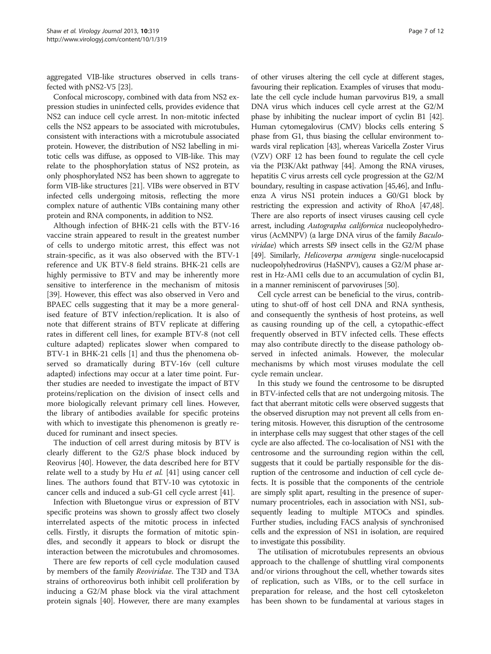aggregated VIB-like structures observed in cells transfected with pNS2-V5 [\[23\]](#page-10-0).

Confocal microscopy, combined with data from NS2 expression studies in uninfected cells, provides evidence that NS2 can induce cell cycle arrest. In non-mitotic infected cells the NS2 appears to be associated with microtubules, consistent with interactions with a microtubule associated protein. However, the distribution of NS2 labelling in mitotic cells was diffuse, as opposed to VIB-like. This may relate to the phosphorylation status of NS2 protein, as only phosphorylated NS2 has been shown to aggregate to form VIB-like structures [[21](#page-10-0)]. VIBs were observed in BTV infected cells undergoing mitosis, reflecting the more complex nature of authentic VIBs containing many other protein and RNA components, in addition to NS2.

Although infection of BHK-21 cells with the BTV-16 vaccine strain appeared to result in the greatest number of cells to undergo mitotic arrest, this effect was not strain-specific, as it was also observed with the BTV-1 reference and UK BTV-8 field strains. BHK-21 cells are highly permissive to BTV and may be inherently more sensitive to interference in the mechanism of mitosis [[39\]](#page-10-0). However, this effect was also observed in Vero and BPAEC cells suggesting that it may be a more generalised feature of BTV infection/replication. It is also of note that different strains of BTV replicate at differing rates in different cell lines, for example BTV-8 (not cell culture adapted) replicates slower when compared to BTV-1 in BHK-21 cells [\[1\]](#page-9-0) and thus the phenomena observed so dramatically during BTV-16v (cell culture adapted) infections may occur at a later time point. Further studies are needed to investigate the impact of BTV proteins/replication on the division of insect cells and more biologically relevant primary cell lines. However, the library of antibodies available for specific proteins with which to investigate this phenomenon is greatly reduced for ruminant and insect species.

The induction of cell arrest during mitosis by BTV is clearly different to the G2/S phase block induced by Reovirus [\[40](#page-10-0)]. However, the data described here for BTV relate well to a study by Hu et al. [[41\]](#page-10-0) using cancer cell lines. The authors found that BTV-10 was cytotoxic in cancer cells and induced a sub-G1 cell cycle arrest [[41\]](#page-10-0).

Infection with Bluetongue virus or expression of BTV specific proteins was shown to grossly affect two closely interrelated aspects of the mitotic process in infected cells. Firstly, it disrupts the formation of mitotic spindles, and secondly it appears to block or disrupt the interaction between the microtubules and chromosomes.

There are few reports of cell cycle modulation caused by members of the family Reoviridae. The T3D and T3A strains of orthoreovirus both inhibit cell proliferation by inducing a G2/M phase block via the viral attachment protein signals [\[40](#page-10-0)]. However, there are many examples

of other viruses altering the cell cycle at different stages, favouring their replication. Examples of viruses that modulate the cell cycle include human parvovirus B19, a small DNA virus which induces cell cycle arrest at the G2/M phase by inhibiting the nuclear import of cyclin B1 [\[42](#page-10-0)]. Human cytomegalovirus (CMV) blocks cells entering S phase from G1, thus biasing the cellular environment towards viral replication [\[43\]](#page-10-0), whereas Varicella Zoster Virus (VZV) ORF 12 has been found to regulate the cell cycle via the PI3K/Akt pathway [\[44\]](#page-10-0). Among the RNA viruses, hepatitis C virus arrests cell cycle progression at the G2/M boundary, resulting in caspase activation [\[45,46](#page-10-0)], and Influenza A virus NS1 protein induces a G0/G1 block by restricting the expression and activity of RhoA [\[47,48](#page-10-0)]. There are also reports of insect viruses causing cell cycle arrest, including Autographa californica nucleopolyhedrovirus (AcMNPV) (a large DNA virus of the family Baculo $viridae$ ) which arrests Sf9 insect cells in the G2/M phase [[49](#page-10-0)]. Similarly, Helicoverpa armigera single-nucelocapsid nucleopolyhedrovirus (HaSNPV), causes a G2/M phase arrest in Hz-AM1 cells due to an accumulation of cyclin B1, in a manner reminiscent of parvoviruses [[50](#page-10-0)].

Cell cycle arrest can be beneficial to the virus, contributing to shut-off of host cell DNA and RNA synthesis, and consequently the synthesis of host proteins, as well as causing rounding up of the cell, a cytopathic-effect frequently observed in BTV infected cells. These effects may also contribute directly to the disease pathology observed in infected animals. However, the molecular mechanisms by which most viruses modulate the cell cycle remain unclear.

In this study we found the centrosome to be disrupted in BTV-infected cells that are not undergoing mitosis. The fact that aberrant mitotic cells were observed suggests that the observed disruption may not prevent all cells from entering mitosis. However, this disruption of the centrosome in interphase cells may suggest that other stages of the cell cycle are also affected. The co-localisation of NS1 with the centrosome and the surrounding region within the cell, suggests that it could be partially responsible for the disruption of the centrosome and induction of cell cycle defects. It is possible that the components of the centriole are simply split apart, resulting in the presence of supernumary procentrioles, each in association with NS1, subsequently leading to multiple MTOCs and spindles. Further studies, including FACS analysis of synchronised cells and the expression of NS1 in isolation, are required to investigate this possibility.

The utilisation of microtubules represents an obvious approach to the challenge of shuttling viral components and/or virions throughout the cell, whether towards sites of replication, such as VIBs, or to the cell surface in preparation for release, and the host cell cytoskeleton has been shown to be fundamental at various stages in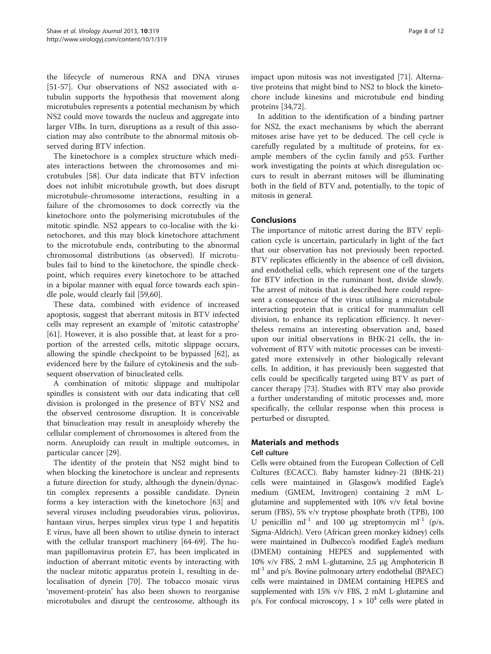<span id="page-7-0"></span>the lifecycle of numerous RNA and DNA viruses [[51-57](#page-10-0)]. Our observations of NS2 associated with αtubulin supports the hypothesis that movement along microtubules represents a potential mechanism by which NS2 could move towards the nucleus and aggregate into larger VIBs. In turn, disruptions as a result of this association may also contribute to the abnormal mitosis observed during BTV infection.

The kinetochore is a complex structure which mediates interactions between the chromosomes and microtubules [[58\]](#page-10-0). Our data indicate that BTV infection does not inhibit microtubule growth, but does disrupt microtubule-chromosome interactions, resulting in a failure of the chromosomes to dock correctly via the kinetochore onto the polymerising microtubules of the mitotic spindle. NS2 appears to co-localise with the kinetochores, and this may block kinetochore attachment to the microtubule ends, contributing to the abnormal chromosomal distributions (as observed). If microtubules fail to bind to the kinetochore, the spindle checkpoint, which requires every kinetochore to be attached in a bipolar manner with equal force towards each spindle pole, would clearly fail [[59,60\]](#page-10-0).

These data, combined with evidence of increased apoptosis, suggest that aberrant mitosis in BTV infected cells may represent an example of 'mitotic catastrophe' [[61\]](#page-10-0). However, it is also possible that, at least for a proportion of the arrested cells, mitotic slippage occurs, allowing the spindle checkpoint to be bypassed [\[62\]](#page-10-0), as evidenced here by the failure of cytokinesis and the subsequent observation of binucleated cells.

A combination of mitotic slippage and multipolar spindles is consistent with our data indicating that cell division is prolonged in the presence of BTV NS2 and the observed centrosome disruption. It is conceivable that binucleation may result in aneuploidy whereby the cellular complement of chromosomes is altered from the norm. Aneuploidy can result in multiple outcomes, in particular cancer [[29\]](#page-10-0).

The identity of the protein that NS2 might bind to when blocking the kinetochore is unclear and represents a future direction for study, although the dynein/dynactin complex represents a possible candidate. Dynein forms a key interaction with the kinetochore [[63\]](#page-10-0) and several viruses including pseudorabies virus, poliovirus, hantaan virus, herpes simplex virus type 1 and hepatitis E virus, have all been shown to utilise dynein to interact with the cellular transport machinery [[64-69](#page-10-0)]. The human papillomavirus protein E7, has been implicated in induction of aberrant mitotic events by interacting with the nuclear mitotic apparatus protein 1, resulting in delocalisation of dynein [\[70](#page-11-0)]. The tobacco mosaic virus 'movement-protein' has also been shown to reorganise microtubules and disrupt the centrosome, although its impact upon mitosis was not investigated [[71](#page-11-0)]. Alternative proteins that might bind to NS2 to block the kinetochore include kinesins and microtubule end binding proteins [\[34](#page-10-0)[,72\]](#page-11-0).

In addition to the identification of a binding partner for NS2, the exact mechanisms by which the aberrant mitoses arise have yet to be deduced. The cell cycle is carefully regulated by a multitude of proteins, for example members of the cyclin family and p53. Further work investigating the points at which disregulation occurs to result in aberrant mitoses will be illuminating both in the field of BTV and, potentially, to the topic of mitosis in general.

# Conclusions

The importance of mitotic arrest during the BTV replication cycle is uncertain, particularly in light of the fact that our observation has not previously been reported. BTV replicates efficiently in the absence of cell division, and endothelial cells, which represent one of the targets for BTV infection in the ruminant host, divide slowly. The arrest of mitosis that is described here could represent a consequence of the virus utilising a microtubule interacting protein that is critical for mammalian cell division, to enhance its replication efficiency. It nevertheless remains an interesting observation and, based upon our initial observations in BHK-21 cells, the involvement of BTV with mitotic processes can be investigated more extensively in other biologically relevant cells. In addition, it has previously been suggested that cells could be specifically targeted using BTV as part of cancer therapy [\[73](#page-11-0)]. Studies with BTV may also provide a further understanding of mitotic processes and, more specifically, the cellular response when this process is perturbed or disrupted.

# Materials and methods

#### Cell culture

Cells were obtained from the European Collection of Cell Cultures (ECACC). Baby hamster kidney-21 (BHK-21) cells were maintained in Glasgow's modified Eagle's medium (GMEM, Invitrogen) containing 2 mM Lglutamine and supplemented with 10% v/v fetal bovine serum (FBS), 5% v/v tryptose phosphate broth (TPB), 100 U penicillin ml<sup>-1</sup> and 100 μg streptomycin ml<sup>-1</sup> (p/s, Sigma-Aldrich). Vero (African green monkey kidney) cells were maintained in Dulbecco's modified Eagle's medium (DMEM) containing HEPES and supplemented with 10% v/v FBS, 2 mM L-glutamine, 2.5 μg Amphotericin B  $ml<sup>-1</sup>$  and p/s. Bovine pulmonary artery endothelial (BPAEC) cells were maintained in DMEM containing HEPES and supplemented with 15% v/v FBS, 2 mM L-glutamine and p/s. For confocal microscopy,  $1 \times 10^4$  cells were plated in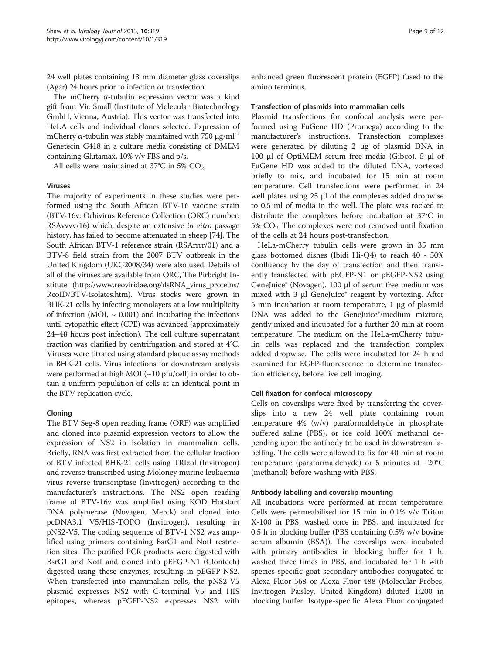24 well plates containing 13 mm diameter glass coverslips (Agar) 24 hours prior to infection or transfection.

The mCherry α-tubulin expression vector was a kind gift from Vic Small (Institute of Molecular Biotechnology GmbH, Vienna, Austria). This vector was transfected into HeLA cells and individual clones selected. Expression of mCherry  $\alpha$ -tubulin was stably maintained with 750  $\mu$ g/ml<sup>-1</sup> Genetecin G418 in a culture media consisting of DMEM containing Glutamax, 10% v/v FBS and p/s.

All cells were maintained at  $37^{\circ}$ C in 5% CO<sub>2</sub>.

#### Viruses

The majority of experiments in these studies were performed using the South African BTV-16 vaccine strain (BTV-16v: Orbivirus Reference Collection (ORC) number: [RSAvvvv/16](http://www.reoviridae.org/dsRNA_virus_proteins/ReoID/btv-16.htm#RSAvvvv/16)) which, despite an extensive in vitro passage history, has failed to become attenuated in sheep [\[74\]](#page-11-0). The South African BTV-1 reference strain [\(RSArrrr/01](http://www.reoviridae.org/dsRNA_virus_proteins/ReoID/btv-1.htm#RSArrrr/01)) and a BTV-8 field strain from the 2007 BTV outbreak in the United Kingdom (UKG2008/34) were also used. Details of all of the viruses are available from ORC, The Pirbright Institute [\(http://www.reoviridae.org/dsRNA\\_virus\\_proteins/](http://www.reoviridae.org/dsRNA_virus_proteins/ReoID/BTV-isolates.htm) [ReoID/BTV-isolates.htm](http://www.reoviridae.org/dsRNA_virus_proteins/ReoID/BTV-isolates.htm)). Virus stocks were grown in BHK-21 cells by infecting monolayers at a low multiplicity of infection (MOI,  $\sim$  0.001) and incubating the infections until cytopathic effect (CPE) was advanced (approximately 24–48 hours post infection). The cell culture supernatant fraction was clarified by centrifugation and stored at 4°C. Viruses were titrated using standard plaque assay methods in BHK-21 cells. Virus infections for downstream analysis were performed at high MOI (~10 pfu/cell) in order to obtain a uniform population of cells at an identical point in the BTV replication cycle.

#### Cloning

The BTV Seg-8 open reading frame (ORF) was amplified and cloned into plasmid expression vectors to allow the expression of NS2 in isolation in mammalian cells. Briefly, RNA was first extracted from the cellular fraction of BTV infected BHK-21 cells using TRIzol (Invitrogen) and reverse transcribed using Moloney murine leukaemia virus reverse transcriptase (Invitrogen) according to the manufacturer's instructions. The NS2 open reading frame of BTV-16v was amplified using KOD Hotstart DNA polymerase (Novagen, Merck) and cloned into pcDNA3.1 V5/HIS-TOPO (Invitrogen), resulting in pNS2-V5. The coding sequence of BTV-1 NS2 was amplified using primers containing BsrG1 and NotI restriction sites. The purified PCR products were digested with BsrG1 and NotI and cloned into pEFGP-N1 (Clontech) digested using these enzymes, resulting in pEGFP-NS2. When transfected into mammalian cells, the pNS2-V5 plasmid expresses NS2 with C-terminal V5 and HIS epitopes, whereas pEGFP-NS2 expresses NS2 with enhanced green fluorescent protein (EGFP) fused to the amino terminus.

#### Transfection of plasmids into mammalian cells

Plasmid transfections for confocal analysis were performed using FuGene HD (Promega) according to the manufacturer's instructions. Transfection complexes were generated by diluting 2 μg of plasmid DNA in 100 μl of OptiMEM serum free media (Gibco). 5 μl of FuGene HD was added to the diluted DNA, vortexed briefly to mix, and incubated for 15 min at room temperature. Cell transfections were performed in 24 well plates using 25 μl of the complexes added dropwise to 0.5 ml of media in the well. The plate was rocked to distribute the complexes before incubation at 37°C in  $5\%$  CO<sub>2</sub>. The complexes were not removed until fixation of the cells at 24 hours post-transfection.

HeLa-mCherry tubulin cells were grown in 35 mm glass bottomed dishes (Ibidi Hi-Q4) to reach 40 - 50% confluency by the day of transfection and then transiently transfected with pEGFP-N1 or pEGFP-NS2 using GeneJuice® (Novagen). 100 μl of serum free medium was mixed with 3 μl GeneJuice® reagent by vortexing. After 5 min incubation at room temperature, 1 μg of plasmid DNA was added to the GeneJuice®/medium mixture, gently mixed and incubated for a further 20 min at room temperature. The medium on the HeLa-mCherry tubulin cells was replaced and the transfection complex added dropwise. The cells were incubated for 24 h and examined for EGFP-fluorescence to determine transfection efficiency, before live cell imaging.

#### Cell fixation for confocal microscopy

Cells on coverslips were fixed by transferring the coverslips into a new 24 well plate containing room temperature 4% (w/v) paraformaldehyde in phosphate buffered saline (PBS), or ice cold 100% methanol depending upon the antibody to be used in downstream labelling. The cells were allowed to fix for 40 min at room temperature (paraformaldehyde) or 5 minutes at −20°C (methanol) before washing with PBS.

#### Antibody labelling and coverslip mounting

All incubations were performed at room temperature. Cells were permeabilised for 15 min in 0.1% v/v Triton X-100 in PBS, washed once in PBS, and incubated for 0.5 h in blocking buffer (PBS containing 0.5% w/v bovine serum albumin (BSA)). The coverslips were incubated with primary antibodies in blocking buffer for 1 h, washed three times in PBS, and incubated for 1 h with species-specific goat secondary antibodies conjugated to Alexa Fluor-568 or Alexa Fluor-488 (Molecular Probes, Invitrogen Paisley, United Kingdom) diluted 1:200 in blocking buffer. Isotype-specific Alexa Fluor conjugated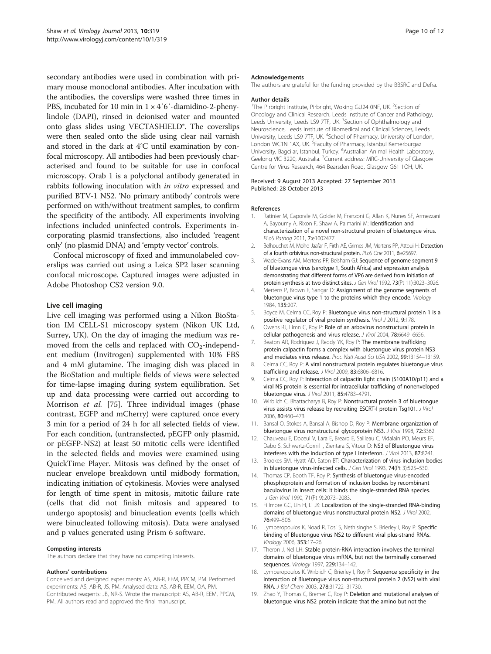<span id="page-9-0"></span>secondary antibodies were used in combination with primary mouse monoclonal antibodies. After incubation with the antibodies, the coverslips were washed three times in PBS, incubated for 10 min in  $1 \times 4'6'$ -diamidino-2-phenylindole (DAPI), rinsed in deionised water and mounted onto glass slides using VECTASHIELD®. The coverslips were then sealed onto the slide using clear nail varnish and stored in the dark at 4°C until examination by confocal microscopy. All antibodies had been previously characterised and found to be suitable for use in confocal microscopy. Orab 1 is a polyclonal antibody generated in rabbits following inoculation with in vitro expressed and purified BTV-1 NS2. 'No primary antibody' controls were performed on with/without treatment samples, to confirm the specificity of the antibody. All experiments involving infections included uninfected controls. Experiments incorporating plasmid transfections, also included 'reagent only' (no plasmid DNA) and 'empty vector' controls.

Confocal microscopy of fixed and immunolabeled coverslips was carried out using a Leica SP2 laser scanning confocal microscope. Captured images were adjusted in Adobe Photoshop CS2 version 9.0.

#### Live cell imaging

Live cell imaging was performed using a Nikon BioStation IM CELL-S1 microscopy system (Nikon UK Ltd, Surrey, UK). On the day of imaging the medium was removed from the cells and replaced with  $CO<sub>2</sub>$ -independent medium (Invitrogen) supplemented with 10% FBS and 4 mM glutamine. The imaging dish was placed in the BioStation and multiple fields of views were selected for time-lapse imaging during system equilibration. Set up and data processing were carried out according to Morrison et al. [\[75](#page-11-0)]. Three individual images (phase contrast, EGFP and mCherry) were captured once every 3 min for a period of 24 h for all selected fields of view. For each condition, (untransfected, pEGFP only plasmid, or pEGFP-NS2) at least 50 mitotic cells were identified in the selected fields and movies were examined using QuickTime Player. Mitosis was defined by the onset of nuclear envelope breakdown until midbody formation, indicating initiation of cytokinesis. Movies were analysed for length of time spent in mitosis, mitotic failure rate (cells that did not finish mitosis and appeared to undergo apoptosis) and binucleation events (cells which were binucleated following mitosis). Data were analysed and p values generated using Prism 6 software.

#### Competing interests

The authors declare that they have no competing interests.

#### Authors' contributions

Conceived and designed experiments: AS, AB-R, EEM, PPCM, PM. Performed experiments: AS, AB-R, JS, PM. Analysed data: AS, AB-R, EEM, OA, PM. Contributed reagents: JB, NR-S. Wrote the manuscript: AS, AB-R, EEM, PPCM, PM. All authors read and approved the final manuscript.

#### Acknowledgements

The authors are grateful for the funding provided by the BBSRC and Defra.

#### Author details

<sup>1</sup>The Pirbright Institute, Pirbright, Woking GU24 0NF, UK. <sup>2</sup>Section of Oncology and Clinical Research, Leeds Institute of Cancer and Pathology, Leeds University, Leeds LS9 7TF, UK. <sup>3</sup>Section of Ophthalmology and Neuroscience, Leeds Institute of Biomedical and Clinical Sciences, Leeds University, Leeds LS9 7TF, UK. <sup>4</sup>School of Pharmacy, University of London, London WC1N 1AX, UK. <sup>5</sup>Faculty of Pharmacy, Istanbul Kemerburgaz University, Bagcilar, Istanbul, Turkey. <sup>6</sup>Australian Animal Health Laboratory, Geelong VIC 3220, Australia. <sup>7</sup>Current address: MRC-University of Glasgow Centre for Virus Research, 464 Bearsden Road, Glasgow G61 1QH, UK.

Received: 9 August 2013 Accepted: 27 September 2013 Published: 28 October 2013

#### References

- 1. Ratinier M, Caporale M, Golder M, Franzoni G, Allan K, Nunes SF, Armezzani A, Bayoumy A, Rixon F, Shaw A, Palmarini M: Identification and characterization of a novel non-structural protein of bluetongue virus. PLoS Pathog 2011, 7:e1002477.
- 2. Belhouchet M, Mohd Jaafar F, Firth AE, Grimes JM, Mertens PP, Attoui H: Detection of a fourth orbivirus non-structural protein. PLoS One 2011, 6:e25697.
- 3. Wade-Evans AM, Mertens PP, Belsham GJ: Sequence of genome segment 9 of bluetongue virus (serotype 1, South Africa) and expression analysis demonstrating that different forms of VP6 are derived from initiation of protein synthesis at two distinct sites. J Gen Virol 1992, 73(Pt 11):3023–3026.
- 4. Mertens P, Brown F, Sangar D: Assignment of the genome segments of bluetongue virus type 1 to the proteins which they encode. Virology 1984, 135:207.
- 5. Boyce M, Celma CC, Roy P: Bluetongue virus non-structural protein 1 is a positive regulator of viral protein synthesis. Virol J 2012, 9:178.
- 6. Owens RJ, Limn C, Roy P: Role of an arbovirus nonstructural protein in cellular pathogenesis and virus release. J Virol 2004, 78:6649–6656.
- 7. Beaton AR, Rodriguez J, Reddy YK, Roy P: The membrane trafficking protein calpactin forms a complex with bluetongue virus protein NS3 and mediates virus release. Proc Natl Acad Sci USA 2002, 99:13154–13159.
- 8. Celma CC, Roy P: A viral nonstructural protein regulates bluetonque virus trafficking and release. J Virol 2009, 83:6806–6816.
- 9. Celma CC, Roy P: Interaction of calpactin light chain (S100A10/p11) and a viral NS protein is essential for intracellular trafficking of nonenveloped bluetongue virus. J Virol 2011, 85:4783–4791.
- 10. Wirblich C, Bhattacharya B, Roy P: Nonstructural protein 3 of bluetonque virus assists virus release by recruiting ESCRT-I protein Tsg101. J Virol 2006, 80:460–473.
- 11. Bansal O, Stokes A, Bansal A, Bishop D, Roy P: Membrane organization of bluetongue virus nonstructural glycoprotein NS3. J Virol 1998, 72:3362.
- 12. Chauveau E, Doceul V, Lara E, Breard E, Sailleau C, Vidalain PO, Meurs EF, Dabo S, Schwartz-Cornil I, Zientara S, Vitour D: NS3 of Bluetongue virus interferes with the induction of type I interferon. J Virol 2013, 87:8241.
- 13. Brookes SM, Hyatt AD, Eaton BT: Characterization of virus inclusion bodies in bluetongue virus-infected cells. J Gen Virol 1993, 74(Pt 3):525-530.
- 14. Thomas CP, Booth TF, Roy P: Synthesis of bluetongue virus-encoded phosphoprotein and formation of inclusion bodies by recombinant baculovirus in insect cells: it binds the single-stranded RNA species. J Gen Virol 1990, 71(Pt 9):2073–2083.
- 15. Fillmore GC, Lin H, Li JK: Localization of the single-stranded RNA-binding domains of bluetongue virus nonstructural protein NS2. J Virol 2002, 76:499–506.
- 16. Lymperopoulos K, Noad R, Tosi S, Nethisinghe S, Brierley I, Roy P: Specific binding of Bluetongue virus NS2 to different viral plus-strand RNAs. Virology 2006, 353:17–26.
- 17. Theron J, Nel LH: Stable protein-RNA interaction involves the terminal domains of bluetongue virus mRNA, but not the terminally conserved sequences. Virology 1997, 229:134–142.
- 18. Lymperopoulos K, Wirblich C, Brierley I, Roy P: Sequence specificity in the interaction of Bluetongue virus non-structural protein 2 (NS2) with viral RNA. J Biol Chem 2003, 278:31722–31730.
- 19. Zhao Y, Thomas C, Bremer C, Roy P: Deletion and mutational analyses of bluetongue virus NS2 protein indicate that the amino but not the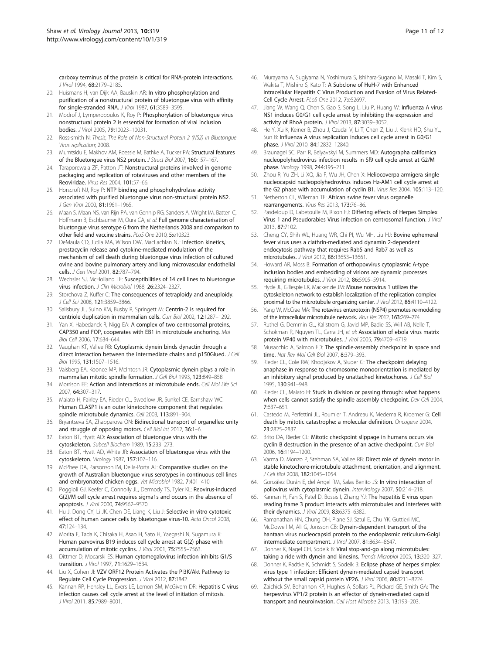<span id="page-10-0"></span>carboxy terminus of the protein is critical for RNA-protein interactions. J Virol 1994, 68:2179–2185.

- 20. Huismans H, van Dijk AA, Bauskin AR: In vitro phosphorylation and purification of a nonstructural protein of bluetongue virus with affinity for single-stranded RNA. J Virol 1987, 61:3589–3595.
- 21. Modrof J, Lymperopoulos K, Roy P: Phosphorylation of bluetongue virus nonstructural protein 2 is essential for formation of viral inclusion bodies. J Virol 2005, 79:10023–10031.
- 22. Ross-smith N: Thesis, The Role of Non-Structural Protein 2 (NS2) in Bluetongue Virus replication; 2008.
- 23. Mumtsidu E, Makhov AM, Roessle M, Bathke A, Tucker PA: Structural features of the Bluetongue virus NS2 protein. J Struct Biol 2007, 160:157–167.
- 24. Taraporewala ZF, Patton JT: Nonstructural proteins involved in genome packaging and replication of rotaviruses and other members of the Reoviridae. Virus Res 2004, 101:57–66.
- 25. Horscroft NJ, Roy P: NTP binding and phosphohydrolase activity associated with purified bluetongue virus non-structural protein NS2. J Gen Virol 2000, 81:1961–1965.
- 26. Maan S, Maan NS, van Rijn PA, van Gennip RG, Sanders A, Wright IM, Batten C, Hoffmann B, Eschbaumer M, Oura CA, et al: Full genome characterisation of bluetongue virus serotype 6 from the Netherlands 2008 and comparison to other field and vaccine strains. PLoS One 2010, 5:e10323.
- 27. DeMaula CD, Jutila MA, Wilson DW, MacLachlan NJ: Infection kinetics, prostacyclin release and cytokine-mediated modulation of the mechanism of cell death during bluetongue virus infection of cultured ovine and bovine pulmonary artery and lung microvascular endothelial cells. J Gen Virol 2001, 82:787–794.
- 28. Wechsler SJ, McHolland LE: Susceptibilities of 14 cell lines to bluetongue virus infection. J Clin Microbiol 1988, 26:2324-2327
- 29. Storchova Z, Kuffer C: The consequences of tetraploidy and aneuploidy. J Cell Sci 2008, 121:3859–3866.
- 30. Salisbury JL, Suino KM, Busby R, Springett M: Centrin-2 is required for centriole duplication in mammalian cells. Curr Biol 2002, 12:1287–1292.
- 31. Yan X, Habedanck R, Nigg EA: A complex of two centrosomal proteins, CAP350 and FOP, cooperates with EB1 in microtubule anchoring. Mol Biol Cell 2006, 17:634–644.
- 32. Vaughan KT, Vallee RB: Cytoplasmic dynein binds dynactin through a direct interaction between the intermediate chains and p150Glued. J Cell Biol 1995, 131:1507–1516.
- 33. Vaisberg EA, Koonce MP, McIntosh JR: Cytoplasmic dynein plays a role in mammalian mitotic spindle formation. J Cell Biol 1993, 123:849-858.
- 34. Morrison EE: Action and interactions at microtubule ends. Cell Mol Life Sci 2007, 64:307–317.
- 35. Maiato H, Fairley EA, Rieder CL, Swedlow JR, Sunkel CE, Earnshaw WC: Human CLASP1 is an outer kinetochore component that regulates spindle microtubule dynamics. Cell 2003, 113:891–904.
- 36. Bryantseva SA, Zhapparova ON: Bidirectional transport of organelles: unity and struggle of opposing motors. Cell Biol Int 2012, 36:1-6.
- 37. Eaton BT, Hyatt AD: Association of bluetongue virus with the cytoskeleton. Subcell Biochem 1989, 15:233–273.
- 38. Eaton BT, Hyatt AD, White JR: Association of bluetongue virus with the cytoskeleton. Virology 1987, 157:107–116.
- 39. McPhee DA, Parsonson IM, Della-Porta AJ: Comparative studies on the growth of Australian bluetongue virus serotypes in continuous cell lines and embryonated chicken eggs. Vet Microbiol 1982, 7:401–410.
- 40. Poggioli GJ, Keefer C, Connolly JL, Dermody TS, Tyler KL: Reovirus-induced G(2)/M cell cycle arrest requires sigma1s and occurs in the absence of apoptosis. J Virol 2000, 74:9562–9570.
- 41. Hu J, Dong CY, Li JK, Chen DE, Liang K, Liu J: Selective in vitro cytotoxic effect of human cancer cells by bluetongue virus-10. Acta Oncol 2008, 47:124–134.
- 42. Morita E, Tada K, Chisaka H, Asao H, Sato H, Yaegashi N, Sugamura K: Human parvovirus B19 induces cell cycle arrest at G(2) phase with accumulation of mitotic cyclins. J Virol 2001, 75:7555–7563.
- 43. Dittmer D, Mocarski ES: Human cytomegalovirus infection inhibits G1/S transition. J Virol 1997, 71:1629–1634.
- 44. Liu X, Cohen JI: VZV ORF12 Protein Activates the PI3K/Akt Pathway to Regulate Cell Cycle Progression. J Virol 2012, 87:1842.
- 45. Kannan RP, Hensley LL, Evers LE, Lemon SM, McGivern DR: Hepatitis C virus infection causes cell cycle arrest at the level of initiation of mitosis. J Virol 2011, 85:7989–8001.
- 46. Murayama A, Sugiyama N, Yoshimura S, Ishihara-Sugano M, Masaki T, Kim S, Wakita T, Mishiro S, Kato T: A Subclone of HuH-7 with Enhanced Intracellular Hepatitis C Virus Production and Evasion of Virus Related-Cell Cycle Arrest. PLoS One 2012, 7:e52697.
- 47. Jiang W, Wang Q, Chen S, Gao S, Song L, Liu P, Huang W: Influenza A virus NS1 induces G0/G1 cell cycle arrest by inhibiting the expression and activity of RhoA protein. J Virol 2013, 87:3039–3052.
- 48. He Y, Xu K, Keiner B, Zhou J, Czudai V, Li T, Chen Z, Liu J, Klenk HD, Shu YL, Sun B: Influenza A virus replication induces cell cycle arrest in G0/G1 phase. J Virol 2010, 84:12832–12840.
- Braunagel SC, Parr R, Belyavskyi M, Summers MD: Autographa californica nucleopolyhedrovirus infection results in Sf9 cell cycle arrest at G2/M phase. Virology 1998, 244:195–211.
- 50. Zhou R, Yu ZH, Li XQ, Jia F, Wu JH, Chen X: Heliocoverpa armigera single nucleocapsid nucleopolyhedrovirus induces Hz-AM1 cell cycle arrest at the G2 phase with accumulation of cyclin B1. Virus Res 2004, 105:113–120.
- 51. Netherton CL, Wileman TE: African swine fever virus organelle rearrangements. Virus Res 2013, 173:76-86.
- 52. Pasdeloup D, Labetoulle M, Rixon FJ: Differing effects of Herpes Simplex Virus 1 and Pseudorabies Virus infection on centrosomal function. J Virol 2013, 87:7102.
- 53. Cheng CY, Shih WL, Huang WR, Chi PI, Wu MH, Liu HJ: Bovine ephemeral fever virus uses a clathrin-mediated and dynamin 2-dependent endocytosis pathway that requires Rab5 and Rab7 as well as microtubules. J Virol 2012, 86:13653–13661.
- Howard AR, Moss B: Formation of orthopoxvirus cytoplasmic A-type inclusion bodies and embedding of virions are dynamic processes requiring microtubules. J Virol 2012, 86:5905–5914.
- 55. Hyde JL, Gillespie LK, Mackenzie JM: Mouse norovirus 1 utilizes the cytoskeleton network to establish localization of the replication complex proximal to the microtubule organizing center. J Virol 2012, 86:4110–4122.
- 56. Yang W, McCrae MA: The rotavirus enterotoxin (NSP4) promotes re-modeling of the intracellular microtubule network. Virus Res 2012, 163:269–274.
- 57. Ruthel G, Demmin GL, Kallstrom G, Javid MP, Badie SS, Will AB, Nelle T, Schokman R, Nguyen TL, Carra JH, et al: Association of ebola virus matrix protein VP40 with microtubules. J Virol 2005, 79:4709–4719.
- 58. Musacchio A, Salmon ED: The spindle-assembly checkpoint in space and time. Nat Rev Mol Cell Biol 2007, 8:379–393.
- 59. Rieder CL, Cole RW, Khodiakov A, Sluder G: The checkpoint delaying anaphase in response to chromosome monoorientation is mediated by an inhibitory signal produced by unattached kinetochores. J Cell Biol 1995, 130:941–948.
- 60. Rieder CL, Maiato H: Stuck in division or passing through: what happens when cells cannot satisfy the spindle assembly checkpoint. Dev Cell 2004, 7:637–651.
- 61. Castedo M, Perfettini JL, Roumier T, Andreau K, Medema R, Kroemer G: Cell death by mitotic catastrophe: a molecular definition. Oncogene 2004, 23:2825–2837.
- 62. Brito DA, Rieder CL: Mitotic checkpoint slippage in humans occurs via cyclin B destruction in the presence of an active checkpoint. Curr Biol 2006, 16:1194–1200.
- 63. Varma D, Monzo P, Stehman SA, Vallee RB: Direct role of dynein motor in stable kinetochore-microtubule attachment, orientation, and alignment. J Cell Biol 2008, 182:1045–1054.
- 64. González Durán E, del Angel RM, Salas Benito JS: In vitro interaction of poliovirus with cytoplasmic dynein. Intervirology 2007, 50:214-218.
- 65. Kannan H, Fan S, Patel D, Bossis I, Zhang YJ: The hepatitis E virus open reading frame 3 product interacts with microtubules and interferes with their dynamics. J Virol 2009, 83:6375–6382.
- 66. Ramanathan HN, Chung DH, Plane SJ, Sztul E, Chu YK, Guttieri MC, McDowell M, Ali G, Jonsson CB: Dynein-dependent transport of the hantaan virus nucleocapsid protein to the endoplasmic reticulum-Golgi intermediate compartment. J Virol 2007, 81:8634–8647.
- 67. Dohner K, Nagel CH, Sodeik B: Viral stop-and-go along microtubules: taking a ride with dynein and kinesins. Trends Microbiol 2005, 13:320–327.
- 68. Dohner K, Radtke K, Schmidt S, Sodeik B: Eclipse phase of herpes simplex virus type 1 infection: Efficient dynein-mediated capsid transport without the small capsid protein VP26. J Virol 2006, 80:8211–8224.
- 69. Zaichick SV, Bohannon KP, Hughes A, Sollars PJ, Pickard GE, Smith GA: The herpesvirus VP1/2 protein is an effector of dynein-mediated capsid transport and neuroinvasion. Cell Host Microbe 2013, 13:193–203.